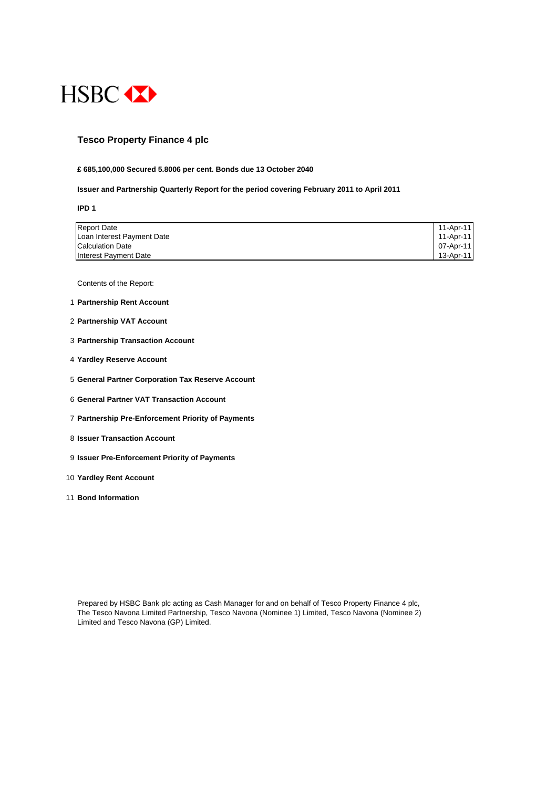

## **Tesco Property Finance 4 plc**

#### **£ 685,100,000 Secured 5.8006 per cent. Bonds due 13 October 2040**

#### **Issuer and Partnership Quarterly Report for the period covering February 2011 to April 2011**

**IPD 1**

| <b>Report Date</b>         | 11-Apr-11 |
|----------------------------|-----------|
| Loan Interest Payment Date | 11-Apr-11 |
| <b>Calculation Date</b>    | 07-Apr-11 |
| Interest Payment Date      | 13-Apr-11 |

Contents of the Report:

- 1 **Partnership Rent Account**
- 2 **Partnership VAT Account**
- 3 **Partnership Transaction Account**
- 4 **Yardley Reserve Account**
- 5 **General Partner Corporation Tax Reserve Account**
- 6 **General Partner VAT Transaction Account**
- 7 **Partnership Pre-Enforcement Priority of Payments**
- 8 **Issuer Transaction Account**
- 9 **Issuer Pre-Enforcement Priority of Payments**
- 10 **Yardley Rent Account**
- 11 **Bond Information**

Prepared by HSBC Bank plc acting as Cash Manager for and on behalf of Tesco Property Finance 4 plc, The Tesco Navona Limited Partnership, Tesco Navona (Nominee 1) Limited, Tesco Navona (Nominee 2) Limited and Tesco Navona (GP) Limited.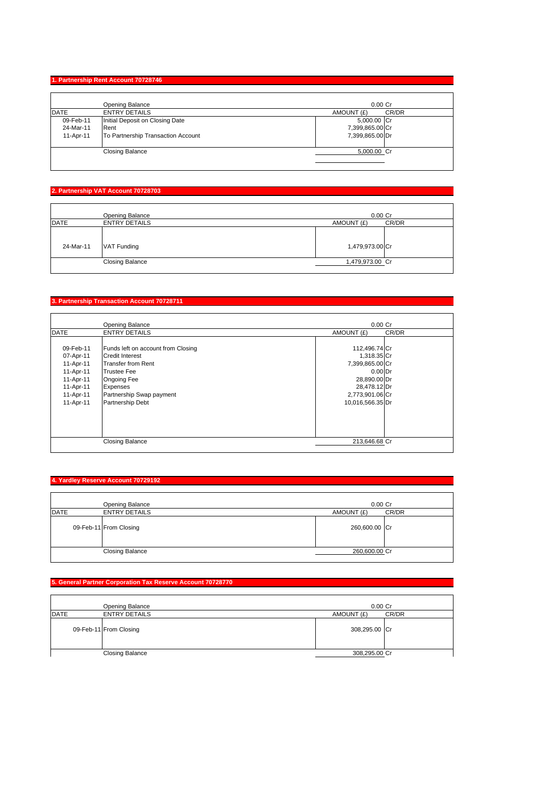## **1. Partnership Rent Account 70728746**

|             | Opening Balance                    | $0.00$ Cr       |       |
|-------------|------------------------------------|-----------------|-------|
| <b>DATE</b> | <b>ENTRY DETAILS</b>               | AMOUNT (£)      | CR/DR |
| 09-Feb-11   | Initial Deposit on Closing Date    | 5,000.00 Cr     |       |
| 24-Mar-11   | Rent                               | 7,399,865.00 Cr |       |
| 11-Apr-11   | To Partnership Transaction Account | 7,399,865.00 Dr |       |
|             | <b>Closing Balance</b>             | 5,000.00 Cr     |       |

#### **2. Partnership VAT Account 70728703**

|             | Opening Balance        | $0.00$ Cr       |       |
|-------------|------------------------|-----------------|-------|
| <b>DATE</b> | <b>ENTRY DETAILS</b>   | AMOUNT (£)      | CR/DR |
| 24-Mar-11   | VAT Funding            | 1,479,973.00 Cr |       |
|             | <b>Closing Balance</b> | 1,479,973.00 Cr |       |

## **3. Partnership Transaction Account 70728711**

|             | Opening Balance                    | $0.00$ Cr        |       |
|-------------|------------------------------------|------------------|-------|
| <b>DATE</b> | <b>ENTRY DETAILS</b>               | AMOUNT (£)       | CR/DR |
|             |                                    |                  |       |
| 09-Feb-11   | Funds left on account from Closing | 112,496.74 Cr    |       |
| 07-Apr-11   | Credit Interest                    | 1,318.35 Cr      |       |
| 11-Apr-11   | <b>Transfer from Rent</b>          | 7,399,865.00 Cr  |       |
| 11-Apr-11   | <b>Trustee Fee</b>                 | $0.00$ Dr        |       |
| 11-Apr-11   | Ongoing Fee                        | 28,890.00 Dr     |       |
| 11-Apr-11   | Expenses                           | 28,478.12 Dr     |       |
| 11-Apr-11   | Partnership Swap payment           | 2,773,901.06 Cr  |       |
| 11-Apr-11   | Partnership Debt                   | 10,016,566.35 Dr |       |
|             |                                    |                  |       |
|             |                                    |                  |       |
|             |                                    |                  |       |
|             |                                    |                  |       |
|             | <b>Closing Balance</b>             | 213.646.68 Cr    |       |

## **4. Yardley Reserve Account 70729192**

|             | Opening Balance        | $0.00$ Cr           |  |
|-------------|------------------------|---------------------|--|
| <b>DATE</b> | <b>ENTRY DETAILS</b>   | CR/DR<br>AMOUNT (£) |  |
|             | 09-Feb-11 From Closing | 260,600.00 Cr       |  |
|             | <b>Closing Balance</b> | 260,600.00 Cr       |  |

## **5. General Partner Corporation Tax Reserve Account 70728770**

|      | Opening Balance        | $0.00$ Cr     |       |
|------|------------------------|---------------|-------|
| DATE | <b>ENTRY DETAILS</b>   | AMOUNT (£)    | CR/DR |
|      | 09-Feb-11 From Closing | 308,295.00 Cr |       |
|      | <b>Closing Balance</b> | 308,295.00 Cr |       |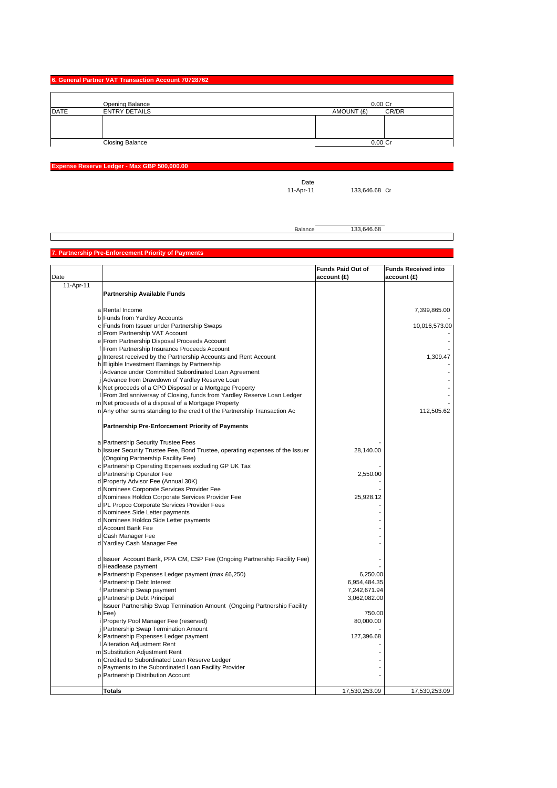| 6. General Partner VAT Transaction Account 70728762 |  |
|-----------------------------------------------------|--|
|-----------------------------------------------------|--|

|             | Opening Balance        |            | $0.00$ Cr |
|-------------|------------------------|------------|-----------|
| <b>DATE</b> | <b>ENTRY DETAILS</b>   | AMOUNT (£) | CR/DR     |
|             |                        |            |           |
|             |                        |            |           |
|             |                        |            |           |
|             | <b>Closing Balance</b> |            | 0.00 Cr   |

**Expense Reserve Ledger - Max GBP 500,000.00**

Date<br>11-Apr-11

133,646.68 Cr

Balance 133,646.68

## **7. Partnership Pre-Enforcement Priority of Payments**

| Date      |                                                                                                                     | <b>Funds Paid Out of</b><br>account (£) | <b>Funds Received into</b><br>account (£) |
|-----------|---------------------------------------------------------------------------------------------------------------------|-----------------------------------------|-------------------------------------------|
| 11-Apr-11 |                                                                                                                     |                                         |                                           |
|           | <b>Partnership Available Funds</b>                                                                                  |                                         |                                           |
|           | a Rental Income                                                                                                     |                                         | 7,399,865.00                              |
|           | b Funds from Yardley Accounts                                                                                       |                                         |                                           |
|           | c Funds from Issuer under Partnership Swaps                                                                         |                                         | 10,016,573.00                             |
|           | d From Partnership VAT Account                                                                                      |                                         |                                           |
|           | e From Partnership Disposal Proceeds Account                                                                        |                                         |                                           |
|           | f From Partnership Insurance Proceeds Account                                                                       |                                         |                                           |
|           | g Interest received by the Partnership Accounts and Rent Account                                                    |                                         | 1,309.47                                  |
|           | h Eligible Investment Earnings by Partnership                                                                       |                                         |                                           |
|           | Advance under Committed Subordinated Loan Agreement                                                                 |                                         |                                           |
|           | j Advance from Drawdown of Yardley Reserve Loan                                                                     |                                         |                                           |
|           | k Net proceeds of a CPO Disposal or a Mortgage Property                                                             |                                         |                                           |
|           | From 3rd anniversay of Closing, funds from Yardley Reserve Loan Ledger                                              |                                         |                                           |
|           | m Net proceeds of a disposal of a Mortgage Property                                                                 |                                         |                                           |
|           | n Any other sums standing to the credit of the Partnership Transaction Ac                                           |                                         | 112,505.62                                |
|           | <b>Partnership Pre-Enforcement Priority of Payments</b>                                                             |                                         |                                           |
|           | a Partnership Security Trustee Fees                                                                                 |                                         |                                           |
|           | b Issuer Security Trustee Fee, Bond Trustee, operating expenses of the Issuer<br>(Ongoing Partnership Facility Fee) | 28,140.00                               |                                           |
|           | c Partnership Operating Expenses excluding GP UK Tax                                                                |                                         |                                           |
|           | d Partnership Operator Fee                                                                                          | 2,550.00                                |                                           |
|           | d Property Advisor Fee (Annual 30K)                                                                                 |                                         |                                           |
|           | d Nominees Corporate Services Provider Fee                                                                          |                                         |                                           |
|           | d Nominees Holdco Corporate Services Provider Fee                                                                   | 25,928.12                               |                                           |
|           | d PL Propco Corporate Services Provider Fees                                                                        |                                         |                                           |
|           | d Nominees Side Letter payments                                                                                     |                                         |                                           |
|           | d Nominees Holdco Side Letter payments                                                                              |                                         |                                           |
|           | d Account Bank Fee                                                                                                  |                                         |                                           |
|           | d Cash Manager Fee                                                                                                  |                                         |                                           |
|           | d Yardley Cash Manager Fee                                                                                          |                                         |                                           |
|           | d Issuer Account Bank, PPA CM, CSP Fee (Ongoing Partnership Facility Fee)                                           |                                         |                                           |
|           | d Headlease payment                                                                                                 |                                         |                                           |
|           | e Partnership Expenses Ledger payment (max £6,250)                                                                  | 6,250.00                                |                                           |
|           | f Partnership Debt Interest                                                                                         | 6,954,484.35                            |                                           |
|           | f Partnership Swap payment                                                                                          | 7,242,671.94                            |                                           |
|           | g Partnership Debt Principal                                                                                        | 3,062,082.00                            |                                           |
|           | Issuer Partnership Swap Termination Amount (Ongoing Partnership Facility                                            |                                         |                                           |
|           | h Fee)                                                                                                              | 750.00                                  |                                           |
|           | Property Pool Manager Fee (reserved)                                                                                | 80,000.00                               |                                           |
|           | Partnership Swap Termination Amount                                                                                 |                                         |                                           |
|           | k Partnership Expenses Ledger payment                                                                               | 127,396.68                              |                                           |
|           | Alteration Adjustment Rent                                                                                          |                                         |                                           |
|           | m Substitution Adjustment Rent                                                                                      |                                         |                                           |
|           | n Credited to Subordinated Loan Reserve Ledger                                                                      |                                         |                                           |
|           | o Payments to the Subordinated Loan Facility Provider                                                               |                                         |                                           |
|           | p Partnership Distribution Account                                                                                  |                                         |                                           |
|           | <b>Totals</b>                                                                                                       | 17,530,253.09                           | 17,530,253.09                             |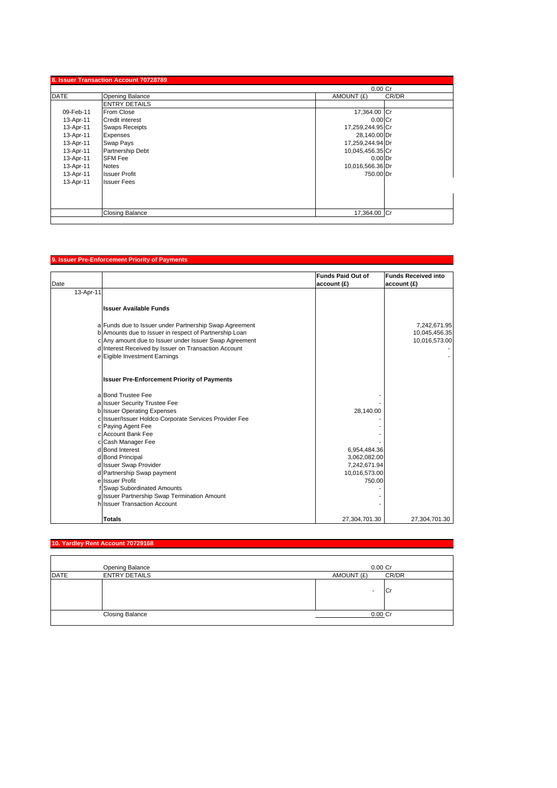|             |                        | $0.00$ Cr           |
|-------------|------------------------|---------------------|
| <b>DATE</b> | Opening Balance        | CR/DR<br>AMOUNT (£) |
|             | <b>ENTRY DETAILS</b>   |                     |
| 09-Feb-11   | From Close             | 17,364.00 Cr        |
| 13-Apr-11   | <b>Credit interest</b> | $0.00$ Cr           |
| 13-Apr-11   | <b>Swaps Receipts</b>  | 17,259,244.95 Cr    |
| 13-Apr-11   | Expenses               | 28,140.00 Dr        |
| 13-Apr-11   | Swap Pays              | 17,259,244.94 Dr    |
| 13-Apr-11   | Partnership Debt       | 10,045,456.35 Cr    |
| 13-Apr-11   | <b>SFM Fee</b>         | $0.00$ Dr           |
| 13-Apr-11   | <b>Notes</b>           | 10,016,566.36 Dr    |
| 13-Apr-11   | <b>Issuer Profit</b>   | 750.00 Dr           |
| 13-Apr-11   | <b>Issuer Fees</b>     |                     |
|             |                        |                     |
|             |                        |                     |
|             |                        |                     |
|             | <b>Closing Balance</b> | 17,364.00 Cr        |

## **9. Issuer Pre-Enforcement Priority of Payments**

|           |                                                        | <b>Funds Paid Out of</b> | <b>Funds Received into</b> |
|-----------|--------------------------------------------------------|--------------------------|----------------------------|
| Date      |                                                        | account (£)              | account (£)                |
| 13-Apr-11 |                                                        |                          |                            |
|           | <b>Issuer Available Funds</b>                          |                          |                            |
|           | a Funds due to Issuer under Partnership Swap Agreement |                          | 7,242,671.95               |
|           | b Amounts due to Issuer in respect of Partnership Loan |                          | 10,045,456.35              |
|           | c Any amount due to Issuer under Issuer Swap Agreement |                          | 10,016,573.00              |
|           | d Interest Received by Issuer on Transaction Account   |                          |                            |
|           | e Eigible Investment Earnings                          |                          |                            |
|           |                                                        |                          |                            |
|           | <b>Issuer Pre-Enforcement Priority of Payments</b>     |                          |                            |
|           | a Bond Trustee Fee                                     |                          |                            |
|           | a Issuer Security Trustee Fee                          |                          |                            |
|           | <b>b</b> Issuer Operating Expenses                     | 28,140.00                |                            |
|           | c Issuer/Issuer Holdco Corporate Services Provider Fee |                          |                            |
|           | c Paying Agent Fee                                     |                          |                            |
|           | c Account Bank Fee                                     |                          |                            |
|           | c Cash Manager Fee                                     |                          |                            |
|           | d Bond Interest                                        | 6,954,484.36             |                            |
|           | d Bond Principal                                       | 3,062,082.00             |                            |
|           | d Issuer Swap Provider                                 | 7,242,671.94             |                            |
|           | d Partnership Swap payment                             | 10,016,573.00            |                            |
|           | e Issuer Profit                                        | 750.00                   |                            |
|           | f Swap Subordinated Amounts                            |                          |                            |
|           | g Issuer Partnership Swap Termination Amount           |                          |                            |
|           | h Issuer Transaction Account                           |                          |                            |
|           | <b>Totals</b>                                          | 27,304,701.30            | 27,304,701.30              |

# **10. Yardley Rent Account 70729168 Opening Balance 6.000 Cr**  $\sim$  0.000 Cr  $\sim$  0.000 Cr  $\sim$  0.000 Cr  $\sim$  0.000 Cr  $\sim$  0.000 Cr  $\sim$  0.000 Cr  $\sim$  0.000 Cr  $\sim$  0.000 Cr  $\sim$  0.000 Cr  $\sim$  0.000 Cr  $\sim$  0.000 Cr  $\sim$  0.000 Cr  $\sim$  0.000 Cr  $\sim$  0.000 Cr  $\mathsf{DATE} \hspace{1.5cm} \mathsf{ENTRY}\ \mathsf{DETAILS} \hspace{2.5cm} \mathsf{MAMOUNT}\ (\mathsf{E})\hspace{1.5cm} \mathsf{CR/DR}$  $-cr$ Closing Balance 0.00 Cr